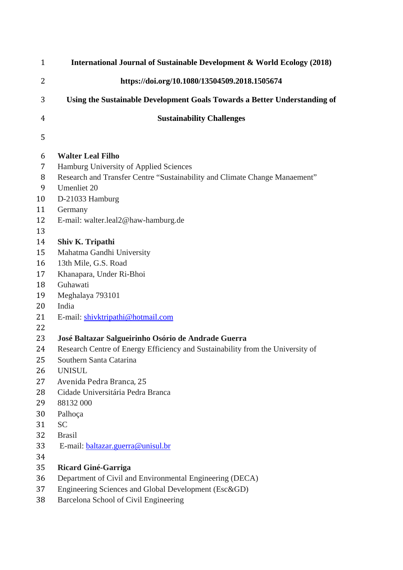| $\mathbf{1}$ | International Journal of Sustainable Development & World Ecology (2018)        |
|--------------|--------------------------------------------------------------------------------|
| 2            | https://doi.org/10.1080/13504509.2018.1505674                                  |
| 3            | Using the Sustainable Development Goals Towards a Better Understanding of      |
| 4            | <b>Sustainability Challenges</b>                                               |
| 5            |                                                                                |
| 6            | <b>Walter Leal Filho</b>                                                       |
| 7            | Hamburg University of Applied Sciences                                         |
| 8            | Research and Transfer Centre "Sustainability and Climate Change Manaement"     |
| 9            | Umenliet 20                                                                    |
| 10           | D-21033 Hamburg                                                                |
| 11           | Germany                                                                        |
| 12           | E-mail: walter.leal2@haw-hamburg.de                                            |
| 13           |                                                                                |
| 14           | Shiv K. Tripathi                                                               |
| 15           | Mahatma Gandhi University                                                      |
| 16           | 13th Mile, G.S. Road                                                           |
| 17           | Khanapara, Under Ri-Bhoi                                                       |
| 18           | Guhawati                                                                       |
| 19           | Meghalaya 793101                                                               |
| 20           | India                                                                          |
| 21           | E-mail: shivktripathi@hotmail.com                                              |
| 22           |                                                                                |
| 23           | José Baltazar Salgueirinho Osório de Andrade Guerra                            |
| 24           | Research Centre of Energy Efficiency and Sustainability from the University of |
| 25           | Southern Santa Catarina                                                        |
| 26           | <b>UNISUL</b>                                                                  |
| 27           | Avenida Pedra Branca, 25                                                       |
| 28           | Cidade Universitária Pedra Branca                                              |
| 29           | 88132 000                                                                      |
| 30           | Palhoça                                                                        |
| 31           | <b>SC</b>                                                                      |
| 32           | <b>Brasil</b>                                                                  |
| 33           | E-mail: baltazar.guerra@unisul.br                                              |
| 34           |                                                                                |
| 35           | Ricard Giné-Garriga                                                            |
| 36           | Department of Civil and Environmental Engineering (DECA)                       |
| 37           | Engineering Sciences and Global Development (Esc&GD)                           |
| 38           | Barcelona School of Civil Engineering                                          |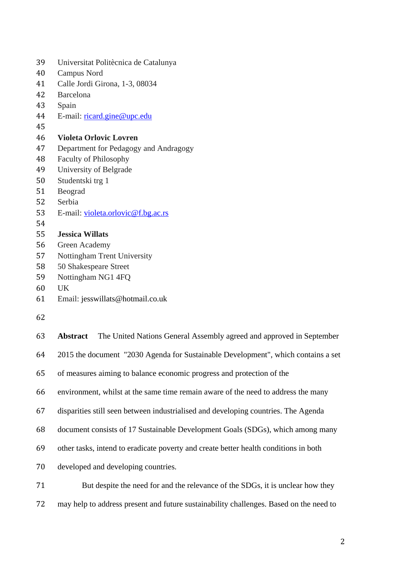| 39 | Universitat Politècnica de Catalunya  |
|----|---------------------------------------|
| 40 | Campus Nord                           |
| 41 | Calle Jordi Girona, 1-3, 08034        |
| 42 | Barcelona                             |
| 43 | Spain                                 |
| 44 | E-mail: ricard.gine@upc.edu           |
| 45 |                                       |
| 46 | <b>Violeta Orlovic Lovren</b>         |
| 47 | Department for Pedagogy and Andragogy |
| 48 | <b>Faculty of Philosophy</b>          |
| 49 | University of Belgrade                |
| 50 | Studentski trg 1                      |
| 51 | Beograd                               |
| 52 | Serbia                                |
| 53 | E-mail: violeta.orlovic@f.bg.ac.rs    |
| 54 |                                       |
| 55 | <b>Jessica Willats</b>                |
| 56 | Green Academy                         |
| 57 | <b>Nottingham Trent University</b>    |
| 58 | 50 Shakespeare Street                 |
| 59 | Nottingham NG1 4FQ                    |
| 60 | <b>UK</b>                             |
| 61 | Email: jesswillats@hotmail.co.uk      |
|    |                                       |

| 63 | The United Nations General Assembly agreed and approved in September<br><b>Abstract</b> |
|----|-----------------------------------------------------------------------------------------|
| 64 | 2015 the document "2030 Agenda for Sustainable Development", which contains a set       |
| 65 | of measures aiming to balance economic progress and protection of the                   |
| 66 | environment, whilst at the same time remain aware of the need to address the many       |
| 67 | disparities still seen between industrialised and developing countries. The Agenda      |
| 68 | document consists of 17 Sustainable Development Goals (SDGs), which among many          |
| 69 | other tasks, intend to eradicate poverty and create better health conditions in both    |
| 70 | developed and developing countries.                                                     |
| 71 | But despite the need for and the relevance of the SDGs, it is unclear how they          |
| 72 | may help to address present and future sustainability challenges. Based on the need to  |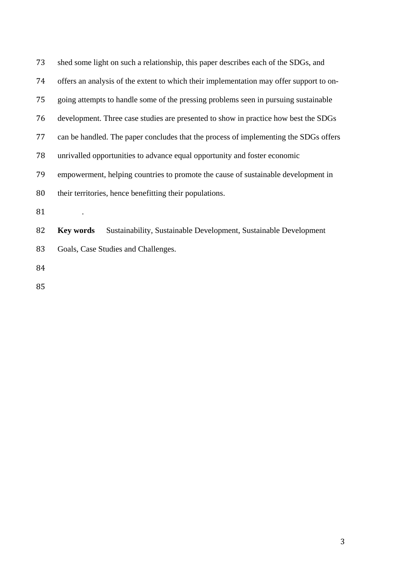| 73 | shed some light on such a relationship, this paper describes each of the SDGs, and      |
|----|-----------------------------------------------------------------------------------------|
| 74 | offers an analysis of the extent to which their implementation may offer support to on- |
| 75 | going attempts to handle some of the pressing problems seen in pursuing sustainable     |
| 76 | development. Three case studies are presented to show in practice how best the SDGs     |
| 77 | can be handled. The paper concludes that the process of implementing the SDGs offers    |
| 78 | unrivalled opportunities to advance equal opportunity and foster economic               |
| 79 | empowerment, helping countries to promote the cause of sustainable development in       |
| 80 | their territories, hence benefitting their populations.                                 |
| 81 |                                                                                         |
| 82 | Sustainability, Sustainable Development, Sustainable Development<br><b>Key words</b>    |
| 83 | Goals, Case Studies and Challenges.                                                     |
| 84 |                                                                                         |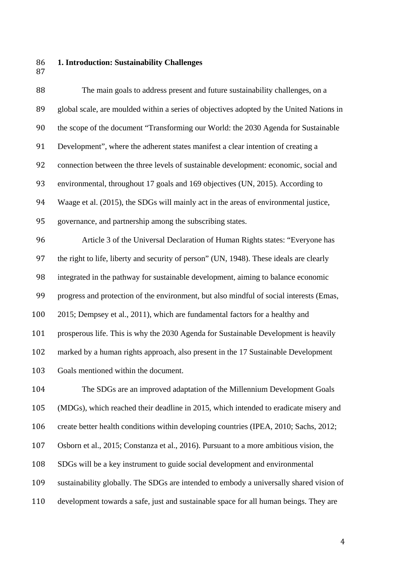- **1. Introduction: Sustainability Challenges**
- 

 The main goals to address present and future sustainability challenges, on a global scale, are moulded within a series of objectives adopted by the United Nations in the scope of the document "Transforming our World: the 2030 Agenda for Sustainable Development", where the adherent states manifest a clear intention of creating a connection between the three levels of sustainable development: economic, social and environmental, throughout 17 goals and 169 objectives (UN, 2015). According to Waage et al. (2015), the SDGs will mainly act in the areas of environmental justice, governance, and partnership among the subscribing states. Article 3 of the Universal Declaration of Human Rights states: "Everyone has the right to life, liberty and security of person" (UN, 1948). These ideals are clearly integrated in the pathway for sustainable development, aiming to balance economic progress and protection of the environment, but also mindful of social interests (Emas,

2015; Dempsey et al., 2011), which are fundamental factors for a healthy and

prosperous life. This is why the 2030 Agenda for Sustainable Development is heavily

marked by a human rights approach, also present in the 17 Sustainable Development

Goals mentioned within the document.

 The SDGs are an improved adaptation of the Millennium Development Goals (MDGs), which reached their deadline in 2015, which intended to eradicate misery and create better health conditions within developing countries (IPEA, 2010; Sachs, 2012; Osborn et al., 2015; Constanza et al., 2016). Pursuant to a more ambitious vision, the SDGs will be a key instrument to guide social development and environmental sustainability globally. The SDGs are intended to embody a universally shared vision of development towards a safe, just and sustainable space for all human beings. They are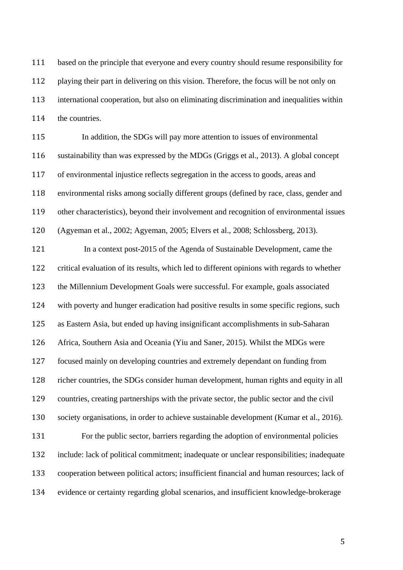based on the principle that everyone and every country should resume responsibility for playing their part in delivering on this vision. Therefore, the focus will be not only on international cooperation, but also on eliminating discrimination and inequalities within the countries.

 In addition, the SDGs will pay more attention to issues of environmental sustainability than was expressed by the MDGs (Griggs et al., 2013). A global concept of environmental injustice reflects segregation in the access to goods, areas and environmental risks among socially different groups (defined by race, class, gender and other characteristics), beyond their involvement and recognition of environmental issues (Agyeman et al., 2002; Agyeman, 2005; Elvers et al., 2008; Schlossberg, 2013).

 In a context post-2015 of the Agenda of Sustainable Development, came the critical evaluation of its results, which led to different opinions with regards to whether the Millennium Development Goals were successful. For example, goals associated with poverty and hunger eradication had positive results in some specific regions, such as Eastern Asia, but ended up having insignificant accomplishments in sub-Saharan Africa, Southern Asia and Oceania (Yiu and Saner, 2015). Whilst the MDGs were focused mainly on developing countries and extremely dependant on funding from richer countries, the SDGs consider human development, human rights and equity in all countries, creating partnerships with the private sector, the public sector and the civil society organisations, in order to achieve sustainable development (Kumar et al., 2016). For the public sector, barriers regarding the adoption of environmental policies include: lack of political commitment; inadequate or unclear responsibilities; inadequate cooperation between political actors; insufficient financial and human resources; lack of evidence or certainty regarding global scenarios, and insufficient knowledge-brokerage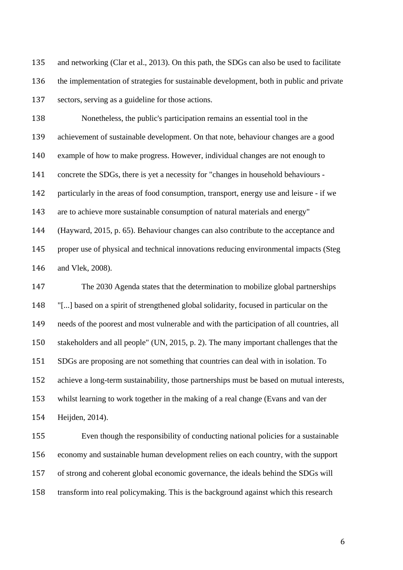and networking (Clar et al., 2013). On this path, the SDGs can also be used to facilitate the implementation of strategies for sustainable development, both in public and private sectors, serving as a guideline for those actions.

 Nonetheless, the public's participation remains an essential tool in the achievement of sustainable development. On that note, behaviour changes are a good example of how to make progress. However, individual changes are not enough to concrete the SDGs, there is yet a necessity for "changes in household behaviours - particularly in the areas of food consumption, transport, energy use and leisure - if we are to achieve more sustainable consumption of natural materials and energy" (Hayward, 2015, p. 65). Behaviour changes can also contribute to the acceptance and proper use of physical and technical innovations reducing environmental impacts (Steg and Vlek, 2008).

 The 2030 Agenda states that the determination to mobilize global partnerships "[...] based on a spirit of strengthened global solidarity, focused in particular on the needs of the poorest and most vulnerable and with the participation of all countries, all stakeholders and all people" (UN, 2015, p. 2). The many important challenges that the SDGs are proposing are not something that countries can deal with in isolation. To achieve a long-term sustainability, those partnerships must be based on mutual interests, whilst learning to work together in the making of a real change (Evans and van der Heijden, 2014).

 Even though the responsibility of conducting national policies for a sustainable economy and sustainable human development relies on each country, with the support of strong and coherent global economic governance, the ideals behind the SDGs will transform into real policymaking. This is the background against which this research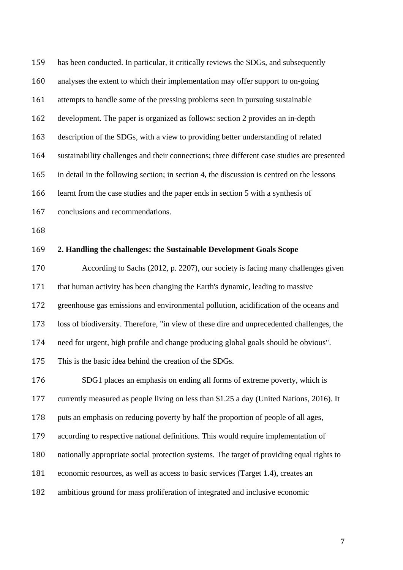has been conducted. In particular, it critically reviews the SDGs, and subsequently analyses the extent to which their implementation may offer support to on-going attempts to handle some of the pressing problems seen in pursuing sustainable development. The paper is organized as follows: section 2 provides an in-depth description of the SDGs, with a view to providing better understanding of related sustainability challenges and their connections; three different case studies are presented in detail in the following section; in section 4, the discussion is centred on the lessons learnt from the case studies and the paper ends in section 5 with a synthesis of

- conclusions and recommendations.
- 

### **2. Handling the challenges: the Sustainable Development Goals Scope**

 According to Sachs (2012, p. 2207), our society is facing many challenges given that human activity has been changing the Earth's dynamic, leading to massive greenhouse gas emissions and environmental pollution, acidification of the oceans and loss of biodiversity. Therefore, "in view of these dire and unprecedented challenges, the need for urgent, high profile and change producing global goals should be obvious". This is the basic idea behind the creation of the SDGs.

 SDG1 places an emphasis on ending all forms of extreme poverty, which is currently measured as people living on less than \$1.25 a day (United Nations, 2016). It puts an emphasis on reducing poverty by half the proportion of people of all ages, according to respective national definitions. This would require implementation of nationally appropriate social protection systems. The target of providing equal rights to

economic resources, as well as access to basic services (Target 1.4), creates an

ambitious ground for mass proliferation of integrated and inclusive economic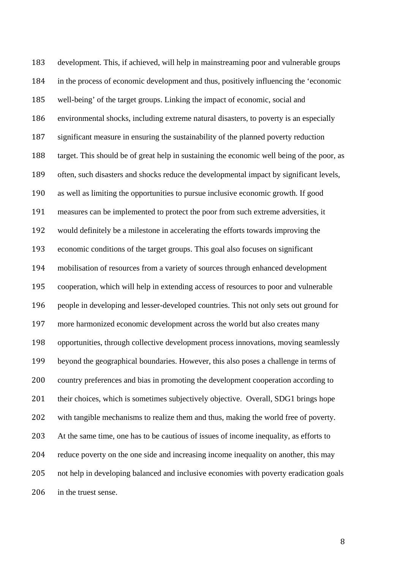development. This, if achieved, will help in mainstreaming poor and vulnerable groups in the process of economic development and thus, positively influencing the 'economic well-being' of the target groups. Linking the impact of economic, social and environmental shocks, including extreme natural disasters, to poverty is an especially significant measure in ensuring the sustainability of the planned poverty reduction target. This should be of great help in sustaining the economic well being of the poor, as often, such disasters and shocks reduce the developmental impact by significant levels, as well as limiting the opportunities to pursue inclusive economic growth. If good measures can be implemented to protect the poor from such extreme adversities, it would definitely be a milestone in accelerating the efforts towards improving the economic conditions of the target groups. This goal also focuses on significant mobilisation of resources from a variety of sources through enhanced development cooperation, which will help in extending access of resources to poor and vulnerable people in developing and lesser-developed countries. This not only sets out ground for more harmonized economic development across the world but also creates many opportunities, through collective development process innovations, moving seamlessly beyond the geographical boundaries. However, this also poses a challenge in terms of country preferences and bias in promoting the development cooperation according to 201 their choices, which is sometimes subjectively objective. Overall, SDG1 brings hope with tangible mechanisms to realize them and thus, making the world free of poverty. At the same time, one has to be cautious of issues of income inequality, as efforts to reduce poverty on the one side and increasing income inequality on another, this may not help in developing balanced and inclusive economies with poverty eradication goals 206 in the truest sense.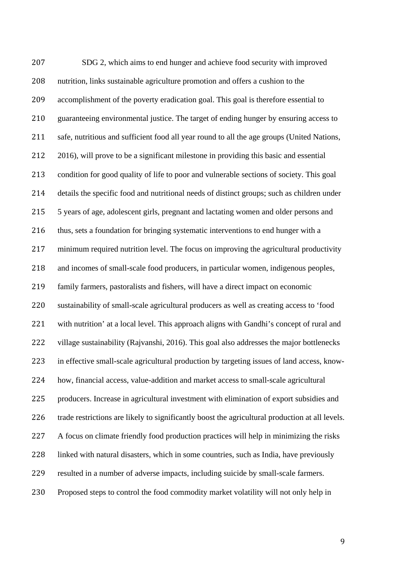SDG 2, which aims to end hunger and achieve food security with improved nutrition, links sustainable agriculture promotion and offers a cushion to the accomplishment of the poverty eradication goal. This goal is therefore essential to guaranteeing environmental justice. The target of ending hunger by ensuring access to safe, nutritious and sufficient food all year round to all the age groups (United Nations, 2016), will prove to be a significant milestone in providing this basic and essential condition for good quality of life to poor and vulnerable sections of society. This goal details the specific food and nutritional needs of distinct groups; such as children under 5 years of age, adolescent girls, pregnant and lactating women and older persons and thus, sets a foundation for bringing systematic interventions to end hunger with a minimum required nutrition level. The focus on improving the agricultural productivity and incomes of small-scale food producers, in particular women, indigenous peoples, family farmers, pastoralists and fishers, will have a direct impact on economic sustainability of small-scale agricultural producers as well as creating access to 'food with nutrition' at a local level. This approach aligns with Gandhi's concept of rural and village sustainability (Rajvanshi, 2016). This goal also addresses the major bottlenecks in effective small-scale agricultural production by targeting issues of land access, know- how, financial access, value-addition and market access to small-scale agricultural producers. Increase in agricultural investment with elimination of export subsidies and trade restrictions are likely to significantly boost the agricultural production at all levels. A focus on climate friendly food production practices will help in minimizing the risks linked with natural disasters, which in some countries, such as India, have previously resulted in a number of adverse impacts, including suicide by small-scale farmers. Proposed steps to control the food commodity market volatility will not only help in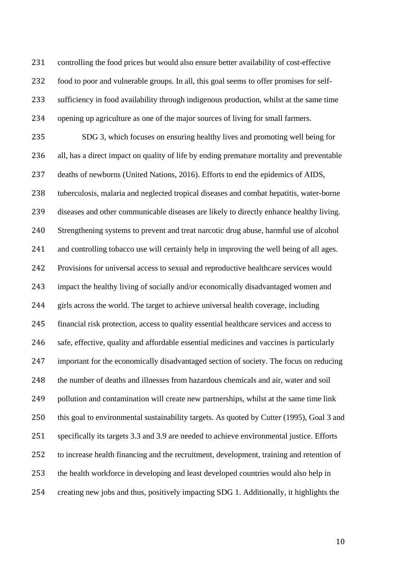controlling the food prices but would also ensure better availability of cost-effective food to poor and vulnerable groups. In all, this goal seems to offer promises for self- sufficiency in food availability through indigenous production, whilst at the same time opening up agriculture as one of the major sources of living for small farmers.

 SDG 3, which focuses on ensuring healthy lives and promoting well being for all, has a direct impact on quality of life by ending premature mortality and preventable deaths of newborns (United Nations, 2016). Efforts to end the epidemics of AIDS, tuberculosis, malaria and neglected tropical diseases and combat hepatitis, water-borne diseases and other communicable diseases are likely to directly enhance healthy living. Strengthening systems to prevent and treat narcotic drug abuse, harmful use of alcohol and controlling tobacco use will certainly help in improving the well being of all ages. Provisions for universal access to sexual and reproductive healthcare services would impact the healthy living of socially and/or economically disadvantaged women and girls across the world. The target to achieve universal health coverage, including financial risk protection, access to quality essential healthcare services and access to safe, effective, quality and affordable essential medicines and vaccines is particularly important for the economically disadvantaged section of society. The focus on reducing the number of deaths and illnesses from hazardous chemicals and air, water and soil pollution and contamination will create new partnerships, whilst at the same time link this goal to environmental sustainability targets. As quoted by Cutter (1995), Goal 3 and specifically its targets 3.3 and 3.9 are needed to achieve environmental justice. Efforts to increase health financing and the recruitment, development, training and retention of the health workforce in developing and least developed countries would also help in creating new jobs and thus, positively impacting SDG 1. Additionally, it highlights the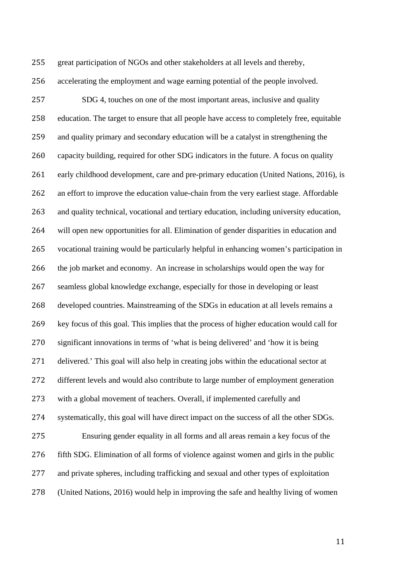great participation of NGOs and other stakeholders at all levels and thereby,

accelerating the employment and wage earning potential of the people involved.

 SDG 4, touches on one of the most important areas, inclusive and quality education. The target to ensure that all people have access to completely free, equitable and quality primary and secondary education will be a catalyst in strengthening the capacity building, required for other SDG indicators in the future. A focus on quality early childhood development, care and pre-primary education (United Nations, 2016), is an effort to improve the education value-chain from the very earliest stage. Affordable and quality technical, vocational and tertiary education, including university education, will open new opportunities for all. Elimination of gender disparities in education and vocational training would be particularly helpful in enhancing women's participation in the job market and economy. An increase in scholarships would open the way for seamless global knowledge exchange, especially for those in developing or least developed countries. Mainstreaming of the SDGs in education at all levels remains a key focus of this goal. This implies that the process of higher education would call for significant innovations in terms of 'what is being delivered' and 'how it is being delivered.' This goal will also help in creating jobs within the educational sector at different levels and would also contribute to large number of employment generation with a global movement of teachers. Overall, if implemented carefully and systematically, this goal will have direct impact on the success of all the other SDGs. Ensuring gender equality in all forms and all areas remain a key focus of the fifth SDG. Elimination of all forms of violence against women and girls in the public and private spheres, including trafficking and sexual and other types of exploitation (United Nations, 2016) would help in improving the safe and healthy living of women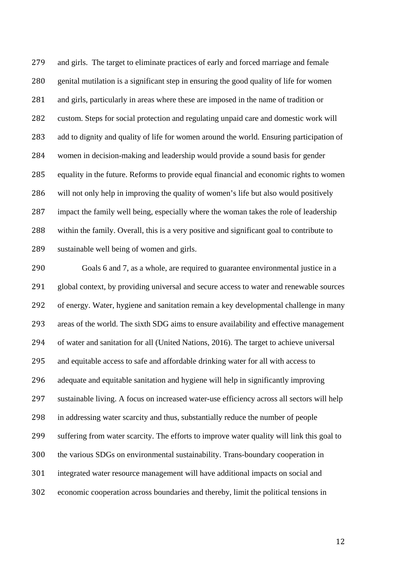and girls. The target to eliminate practices of early and forced marriage and female genital mutilation is a significant step in ensuring the good quality of life for women and girls, particularly in areas where these are imposed in the name of tradition or custom. Steps for social protection and regulating unpaid care and domestic work will add to dignity and quality of life for women around the world. Ensuring participation of women in decision-making and leadership would provide a sound basis for gender equality in the future. Reforms to provide equal financial and economic rights to women will not only help in improving the quality of women's life but also would positively impact the family well being, especially where the woman takes the role of leadership within the family. Overall, this is a very positive and significant goal to contribute to sustainable well being of women and girls.

 Goals 6 and 7, as a whole, are required to guarantee environmental justice in a global context, by providing universal and secure access to water and renewable sources of energy. Water, hygiene and sanitation remain a key developmental challenge in many areas of the world. The sixth SDG aims to ensure availability and effective management of water and sanitation for all (United Nations, 2016). The target to achieve universal and equitable access to safe and affordable drinking water for all with access to adequate and equitable sanitation and hygiene will help in significantly improving sustainable living. A focus on increased water-use efficiency across all sectors will help in addressing water scarcity and thus, substantially reduce the number of people suffering from water scarcity. The efforts to improve water quality will link this goal to the various SDGs on environmental sustainability. Trans-boundary cooperation in integrated water resource management will have additional impacts on social and economic cooperation across boundaries and thereby, limit the political tensions in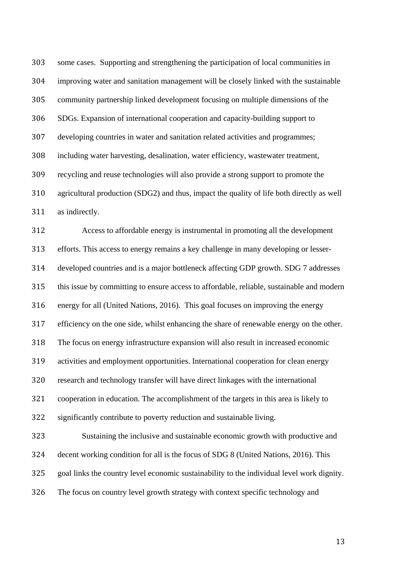some cases. Supporting and strengthening the participation of local communities in improving water and sanitation management will be closely linked with the sustainable community partnership linked development focusing on multiple dimensions of the SDGs. Expansion of international cooperation and capacity-building support to developing countries in water and sanitation related activities and programmes; including water harvesting, desalination, water efficiency, wastewater treatment, recycling and reuse technologies will also provide a strong support to promote the agricultural production (SDG2) and thus, impact the quality of life both directly as well as indirectly.

 Access to affordable energy is instrumental in promoting all the development efforts. This access to energy remains a key challenge in many developing or lesser- developed countries and is a major bottleneck affecting GDP growth. SDG 7 addresses this issue by committing to ensure access to affordable, reliable, sustainable and modern energy for all (United Nations, 2016). This goal focuses on improving the energy efficiency on the one side, whilst enhancing the share of renewable energy on the other. The focus on energy infrastructure expansion will also result in increased economic activities and employment opportunities. International cooperation for clean energy research and technology transfer will have direct linkages with the international cooperation in education. The accomplishment of the targets in this area is likely to significantly contribute to poverty reduction and sustainable living. Sustaining the inclusive and sustainable economic growth with productive and

 decent working condition for all is the focus of SDG 8 (United Nations, 2016). This goal links the country level economic sustainability to the individual level work dignity. The focus on country level growth strategy with context specific technology and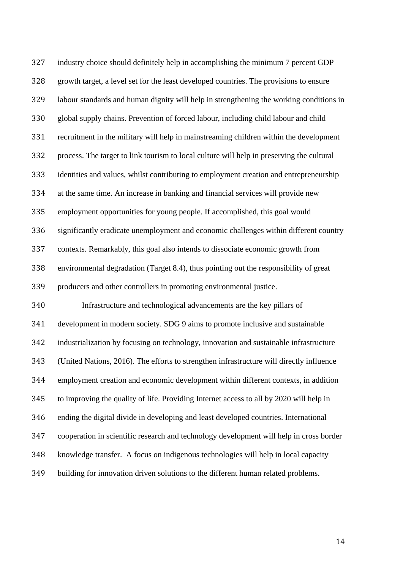industry choice should definitely help in accomplishing the minimum 7 percent GDP growth target, a level set for the least developed countries. The provisions to ensure labour standards and human dignity will help in strengthening the working conditions in global supply chains. Prevention of forced labour, including child labour and child recruitment in the military will help in mainstreaming children within the development process. The target to link tourism to local culture will help in preserving the cultural identities and values, whilst contributing to employment creation and entrepreneurship at the same time. An increase in banking and financial services will provide new employment opportunities for young people. If accomplished, this goal would significantly eradicate unemployment and economic challenges within different country contexts. Remarkably, this goal also intends to dissociate economic growth from environmental degradation (Target 8.4), thus pointing out the responsibility of great producers and other controllers in promoting environmental justice. Infrastructure and technological advancements are the key pillars of development in modern society. SDG 9 aims to promote inclusive and sustainable industrialization by focusing on technology, innovation and sustainable infrastructure (United Nations, 2016). The efforts to strengthen infrastructure will directly influence employment creation and economic development within different contexts, in addition to improving the quality of life. Providing Internet access to all by 2020 will help in ending the digital divide in developing and least developed countries. International cooperation in scientific research and technology development will help in cross border knowledge transfer. A focus on indigenous technologies will help in local capacity building for innovation driven solutions to the different human related problems.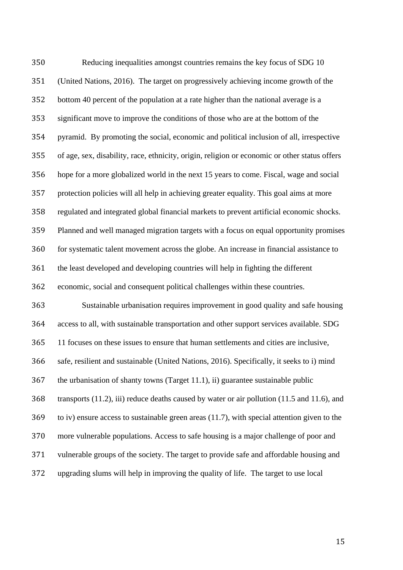Reducing inequalities amongst countries remains the key focus of SDG 10 (United Nations, 2016). The target on progressively achieving income growth of the bottom 40 percent of the population at a rate higher than the national average is a significant move to improve the conditions of those who are at the bottom of the pyramid. By promoting the social, economic and political inclusion of all, irrespective of age, sex, disability, race, ethnicity, origin, religion or economic or other status offers hope for a more globalized world in the next 15 years to come. Fiscal, wage and social protection policies will all help in achieving greater equality. This goal aims at more regulated and integrated global financial markets to prevent artificial economic shocks. Planned and well managed migration targets with a focus on equal opportunity promises for systematic talent movement across the globe. An increase in financial assistance to the least developed and developing countries will help in fighting the different economic, social and consequent political challenges within these countries. Sustainable urbanisation requires improvement in good quality and safe housing access to all, with sustainable transportation and other support services available. SDG 11 focuses on these issues to ensure that human settlements and cities are inclusive, safe, resilient and sustainable (United Nations, 2016). Specifically, it seeks to i) mind the urbanisation of shanty towns (Target 11.1), ii) guarantee sustainable public transports (11.2), iii) reduce deaths caused by water or air pollution (11.5 and 11.6), and to iv) ensure access to sustainable green areas (11.7), with special attention given to the more vulnerable populations. Access to safe housing is a major challenge of poor and vulnerable groups of the society. The target to provide safe and affordable housing and upgrading slums will help in improving the quality of life. The target to use local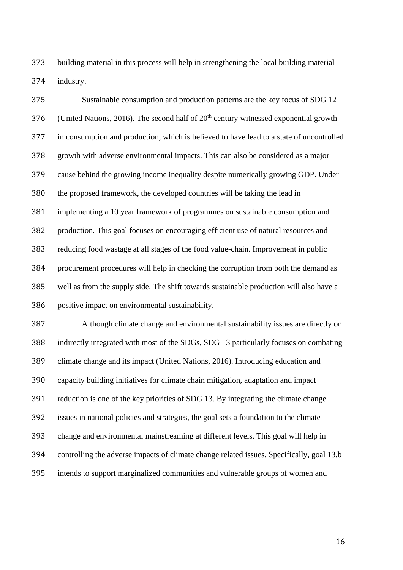building material in this process will help in strengthening the local building material industry.

 Sustainable consumption and production patterns are the key focus of SDG 12 376 (United Nations, 2016). The second half of  $20<sup>th</sup>$  century witnessed exponential growth in consumption and production, which is believed to have lead to a state of uncontrolled growth with adverse environmental impacts. This can also be considered as a major cause behind the growing income inequality despite numerically growing GDP. Under the proposed framework, the developed countries will be taking the lead in implementing a 10 year framework of programmes on sustainable consumption and production. This goal focuses on encouraging efficient use of natural resources and reducing food wastage at all stages of the food value-chain. Improvement in public procurement procedures will help in checking the corruption from both the demand as well as from the supply side. The shift towards sustainable production will also have a positive impact on environmental sustainability.

 Although climate change and environmental sustainability issues are directly or indirectly integrated with most of the SDGs, SDG 13 particularly focuses on combating climate change and its impact (United Nations, 2016). Introducing education and capacity building initiatives for climate chain mitigation, adaptation and impact reduction is one of the key priorities of SDG 13. By integrating the climate change issues in national policies and strategies, the goal sets a foundation to the climate change and environmental mainstreaming at different levels. This goal will help in controlling the adverse impacts of climate change related issues. Specifically, goal 13.b intends to support marginalized communities and vulnerable groups of women and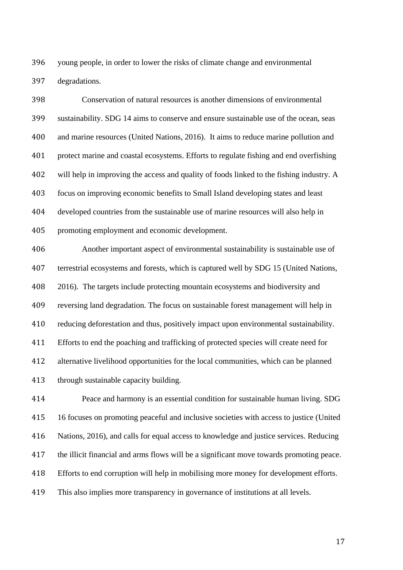young people, in order to lower the risks of climate change and environmental degradations.

 Conservation of natural resources is another dimensions of environmental sustainability. SDG 14 aims to conserve and ensure sustainable use of the ocean, seas and marine resources (United Nations, 2016). It aims to reduce marine pollution and protect marine and coastal ecosystems. Efforts to regulate fishing and end overfishing will help in improving the access and quality of foods linked to the fishing industry. A focus on improving economic benefits to Small Island developing states and least developed countries from the sustainable use of marine resources will also help in promoting employment and economic development.

 Another important aspect of environmental sustainability is sustainable use of terrestrial ecosystems and forests, which is captured well by SDG 15 (United Nations, 2016). The targets include protecting mountain ecosystems and biodiversity and reversing land degradation. The focus on sustainable forest management will help in reducing deforestation and thus, positively impact upon environmental sustainability. Efforts to end the poaching and trafficking of protected species will create need for alternative livelihood opportunities for the local communities, which can be planned through sustainable capacity building.

 Peace and harmony is an essential condition for sustainable human living. SDG 16 focuses on promoting peaceful and inclusive societies with access to justice (United Nations, 2016), and calls for equal access to knowledge and justice services. Reducing the illicit financial and arms flows will be a significant move towards promoting peace. Efforts to end corruption will help in mobilising more money for development efforts. This also implies more transparency in governance of institutions at all levels.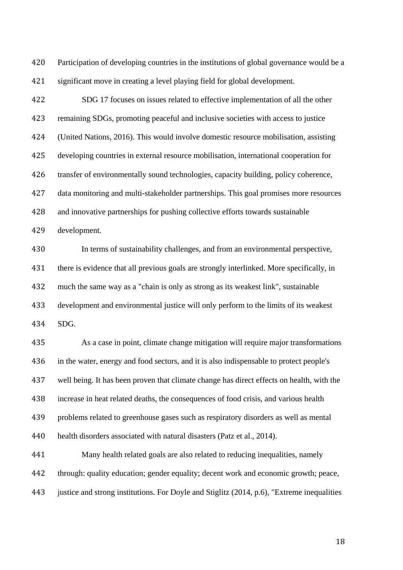Participation of developing countries in the institutions of global governance would be a significant move in creating a level playing field for global development.

 SDG 17 focuses on issues related to effective implementation of all the other remaining SDGs, promoting peaceful and inclusive societies with access to justice (United Nations, 2016). This would involve domestic resource mobilisation, assisting developing countries in external resource mobilisation, international cooperation for transfer of environmentally sound technologies, capacity building, policy coherence, data monitoring and multi-stakeholder partnerships. This goal promises more resources and innovative partnerships for pushing collective efforts towards sustainable

development.

 In terms of sustainability challenges, and from an environmental perspective, 431 there is evidence that all previous goals are strongly interlinked. More specifically, in much the same way as a "chain is only as strong as its weakest link", sustainable development and environmental justice will only perform to the limits of its weakest SDG.

 As a case in point, climate change mitigation will require major transformations in the water, energy and food sectors, and it is also indispensable to protect people's well being. It has been proven that climate change has direct effects on health, with the increase in heat related deaths, the consequences of food crisis, and various health problems related to greenhouse gases such as respiratory disorders as well as mental 440 health disorders associated with natural disasters (Patz et al., 2014).

 Many health related goals are also related to reducing inequalities, namely through: quality education; gender equality; decent work and economic growth; peace, justice and strong institutions. For Doyle and Stiglitz (2014, p.6), "Extreme inequalities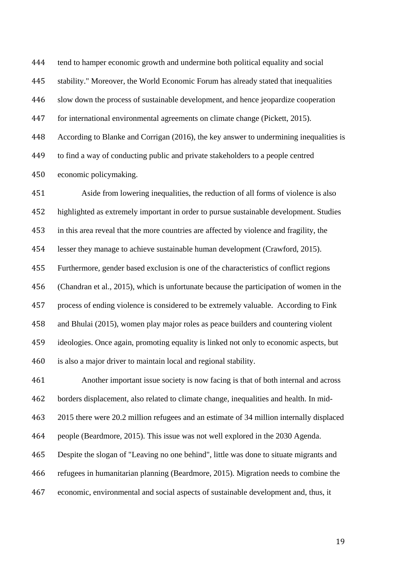tend to hamper economic growth and undermine both political equality and social

stability." Moreover, the World Economic Forum has already stated that inequalities

slow down the process of sustainable development, and hence jeopardize cooperation

for international environmental agreements on climate change (Pickett, 2015).

According to Blanke and Corrigan (2016), the key answer to undermining inequalities is

to find a way of conducting public and private stakeholders to a people centred

economic policymaking.

 Aside from lowering inequalities, the reduction of all forms of violence is also highlighted as extremely important in order to pursue sustainable development. Studies in this area reveal that the more countries are affected by violence and fragility, the lesser they manage to achieve sustainable human development (Crawford, 2015). Furthermore, gender based exclusion is one of the characteristics of conflict regions (Chandran et al., 2015), which is unfortunate because the participation of women in the process of ending violence is considered to be extremely valuable. According to Fink and Bhulai (2015), women play major roles as peace builders and countering violent ideologies. Once again, promoting equality is linked not only to economic aspects, but is also a major driver to maintain local and regional stability.

 Another important issue society is now facing is that of both internal and across borders displacement, also related to climate change, inequalities and health. In mid- 2015 there were 20.2 million refugees and an estimate of 34 million internally displaced people (Beardmore, 2015). This issue was not well explored in the 2030 Agenda.

Despite the slogan of "Leaving no one behind", little was done to situate migrants and

refugees in humanitarian planning (Beardmore, 2015). Migration needs to combine the

economic, environmental and social aspects of sustainable development and, thus, it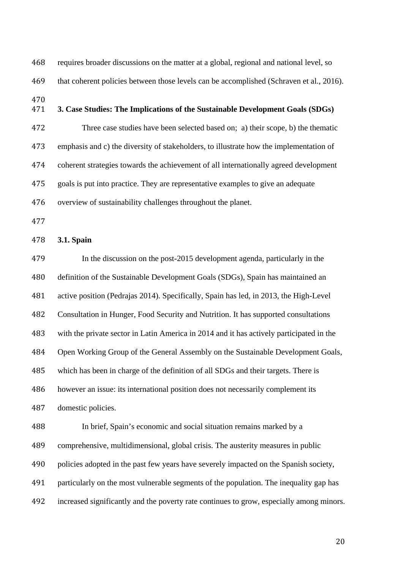requires broader discussions on the matter at a global, regional and national level, so 469 that coherent policies between those levels can be accomplished (Schraven et al., 2016).

- 470<br>471
- **3. Case Studies: The Implications of the Sustainable Development Goals (SDGs)**

 Three case studies have been selected based on; a) their scope, b) the thematic emphasis and c) the diversity of stakeholders, to illustrate how the implementation of coherent strategies towards the achievement of all internationally agreed development goals is put into practice. They are representative examples to give an adequate overview of sustainability challenges throughout the planet.

#### **3.1. Spain**

 In the discussion on the post-2015 development agenda, particularly in the definition of the Sustainable Development Goals (SDGs), Spain has maintained an active position (Pedrajas 2014). Specifically, Spain has led, in 2013, the High-Level Consultation in Hunger, Food Security and Nutrition. It has supported consultations with the private sector in Latin America in 2014 and it has actively participated in the Open Working Group of the General Assembly on the Sustainable Development Goals, which has been in charge of the definition of all SDGs and their targets. There is however an issue: its international position does not necessarily complement its domestic policies.

 In brief, Spain's economic and social situation remains marked by a comprehensive, multidimensional, global crisis. The austerity measures in public policies adopted in the past few years have severely impacted on the Spanish society, particularly on the most vulnerable segments of the population. The inequality gap has increased significantly and the poverty rate continues to grow, especially among minors.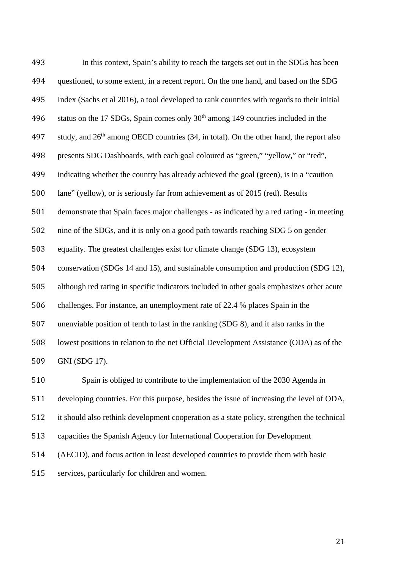In this context, Spain's ability to reach the targets set out in the SDGs has been questioned, to some extent, in a recent report. On the one hand, and based on the SDG Index (Sachs et al 2016), a tool developed to rank countries with regards to their initial 496 status on the 17 SDGs, Spain comes only  $30<sup>th</sup>$  among 149 countries included in the 497 study, and  $26<sup>th</sup>$  among OECD countries (34, in total). On the other hand, the report also presents SDG Dashboards, with each goal coloured as "green," "yellow," or "red", indicating whether the country has already achieved the goal (green), is in a "caution lane" (yellow), or is seriously far from achievement as of 2015 (red). Results demonstrate that Spain faces major challenges - as indicated by a red rating - in meeting nine of the SDGs, and it is only on a good path towards reaching SDG 5 on gender equality. The greatest challenges exist for climate change (SDG 13), ecosystem conservation (SDGs 14 and 15), and sustainable consumption and production (SDG 12), although red rating in specific indicators included in other goals emphasizes other acute challenges. For instance, an unemployment rate of 22.4 % places Spain in the unenviable position of tenth to last in the ranking (SDG 8), and it also ranks in the lowest positions in relation to the net Official Development Assistance (ODA) as of the GNI (SDG 17). Spain is obliged to contribute to the implementation of the 2030 Agenda in

developing countries. For this purpose, besides the issue of increasing the level of ODA,

it should also rethink development cooperation as a state policy, strengthen the technical

capacities the Spanish Agency for International Cooperation for Development

(AECID), and focus action in least developed countries to provide them with basic

services, particularly for children and women.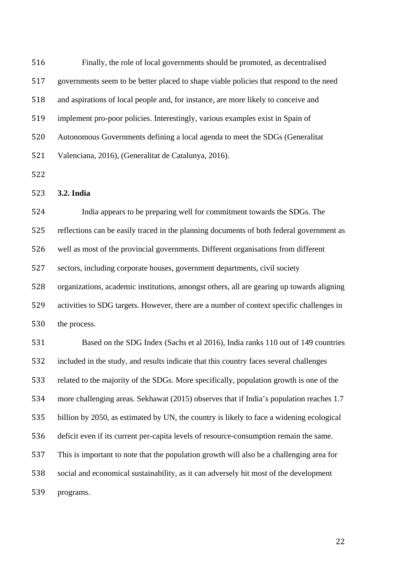| 516 | Finally, the role of local governments should be promoted, as decentralised               |
|-----|-------------------------------------------------------------------------------------------|
| 517 | governments seem to be better placed to shape viable policies that respond to the need    |
| 518 | and aspirations of local people and, for instance, are more likely to conceive and        |
| 519 | implement pro-poor policies. Interestingly, various examples exist in Spain of            |
| 520 | Autonomous Governments defining a local agenda to meet the SDGs (Generalitat              |
| 521 | Valenciana, 2016), (Generalitat de Catalunya, 2016).                                      |
| 522 |                                                                                           |
| 523 | 3.2. India                                                                                |
| 524 | India appears to be preparing well for commitment towards the SDGs. The                   |
| 525 | reflections can be easily traced in the planning documents of both federal government as  |
| 526 | well as most of the provincial governments. Different organisations from different        |
| 527 | sectors, including corporate houses, government departments, civil society                |
| 528 | organizations, academic institutions, amongst others, all are gearing up towards aligning |
| 529 | activities to SDG targets. However, there are a number of context specific challenges in  |
| 530 | the process.                                                                              |
| 531 | Based on the SDG Index (Sachs et al 2016), India ranks 110 out of 149 countries           |
| 532 | included in the study, and results indicate that this country faces several challenges    |
| 533 | related to the majority of the SDGs. More specifically, population growth is one of the   |
| 534 | more challenging areas. Sekhawat (2015) observes that if India's population reaches 1.7   |
| 535 | billion by 2050, as estimated by UN, the country is likely to face a widening ecological  |
| 536 | deficit even if its current per-capita levels of resource-consumption remain the same.    |
| 537 | This is important to note that the population growth will also be a challenging area for  |
| 538 | social and economical sustainability, as it can adversely hit most of the development     |
| 539 | programs.                                                                                 |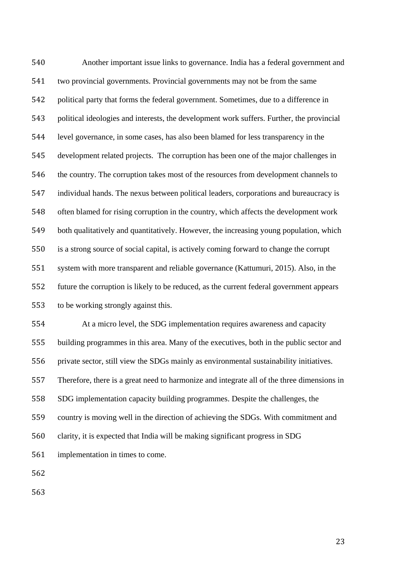Another important issue links to governance. India has a federal government and two provincial governments. Provincial governments may not be from the same political party that forms the federal government. Sometimes, due to a difference in political ideologies and interests, the development work suffers. Further, the provincial level governance, in some cases, has also been blamed for less transparency in the development related projects. The corruption has been one of the major challenges in the country. The corruption takes most of the resources from development channels to individual hands. The nexus between political leaders, corporations and bureaucracy is often blamed for rising corruption in the country, which affects the development work both qualitatively and quantitatively. However, the increasing young population, which is a strong source of social capital, is actively coming forward to change the corrupt system with more transparent and reliable governance (Kattumuri, 2015). Also, in the future the corruption is likely to be reduced, as the current federal government appears to be working strongly against this.

 At a micro level, the SDG implementation requires awareness and capacity building programmes in this area. Many of the executives, both in the public sector and private sector, still view the SDGs mainly as environmental sustainability initiatives. Therefore, there is a great need to harmonize and integrate all of the three dimensions in SDG implementation capacity building programmes. Despite the challenges, the country is moving well in the direction of achieving the SDGs. With commitment and

clarity, it is expected that India will be making significant progress in SDG

implementation in times to come.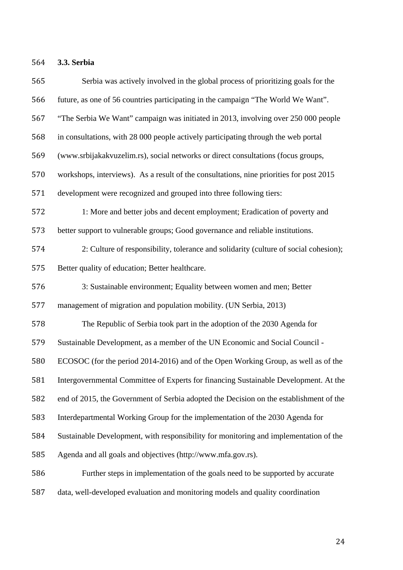**3.3. Serbia**

| 565 | Serbia was actively involved in the global process of prioritizing goals for the        |
|-----|-----------------------------------------------------------------------------------------|
| 566 | future, as one of 56 countries participating in the campaign "The World We Want".       |
| 567 | "The Serbia We Want" campaign was initiated in 2013, involving over 250 000 people      |
| 568 | in consultations, with 28 000 people actively participating through the web portal      |
| 569 | (www.srbijakakvuzelim.rs), social networks or direct consultations (focus groups,       |
| 570 | workshops, interviews). As a result of the consultations, nine priorities for post 2015 |
| 571 | development were recognized and grouped into three following tiers:                     |
| 572 | 1: More and better jobs and decent employment; Eradication of poverty and               |
| 573 | better support to vulnerable groups; Good governance and reliable institutions.         |
| 574 | 2: Culture of responsibility, tolerance and solidarity (culture of social cohesion);    |
| 575 | Better quality of education; Better healthcare.                                         |
| 576 | 3: Sustainable environment; Equality between women and men; Better                      |
| 577 | management of migration and population mobility. (UN Serbia, 2013)                      |
| 578 | The Republic of Serbia took part in the adoption of the 2030 Agenda for                 |
| 579 | Sustainable Development, as a member of the UN Economic and Social Council -            |
| 580 | ECOSOC (for the period 2014-2016) and of the Open Working Group, as well as of the      |
| 581 | Intergovernmental Committee of Experts for financing Sustainable Development. At the    |
| 582 | end of 2015, the Government of Serbia adopted the Decision on the establishment of the  |
| 583 | Interdepartmental Working Group for the implementation of the 2030 Agenda for           |
| 584 | Sustainable Development, with responsibility for monitoring and implementation of the   |
| 585 | Agenda and all goals and objectives (http://www.mfa.gov.rs).                            |
| 586 | Further steps in implementation of the goals need to be supported by accurate           |
| 587 | data, well-developed evaluation and monitoring models and quality coordination          |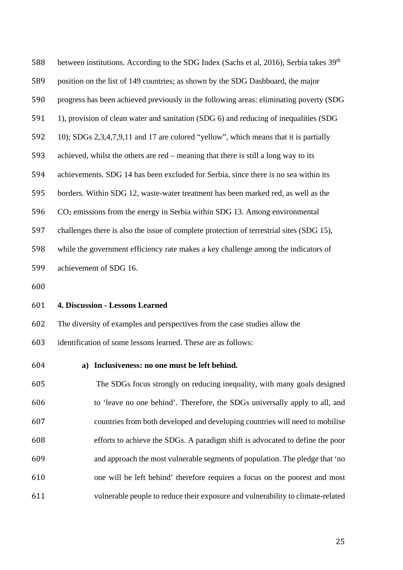| 588 | between institutions. According to the SDG Index (Sachs et al, 2016), Serbia takes 39 <sup>th</sup> |
|-----|-----------------------------------------------------------------------------------------------------|
| 589 | position on the list of 149 countries; as shown by the SDG Dashboard, the major                     |
| 590 | progress has been achieved previously in the following areas: eliminating poverty (SDG)             |
| 591 | 1), provision of clean water and sanitation (SDG 6) and reducing of inequalities (SDG               |
| 592 | 10); SDGs 2,3,4,7,9,11 and 17 are colored "yellow", which means that it is partially                |
| 593 | achieved, whilst the others are red – meaning that there is still a long way to its                 |
| 594 | achievements. SDG 14 has been excluded for Serbia, since there is no sea within its                 |
| 595 | borders. Within SDG 12, waste-water treatment has been marked red, as well as the                   |
| 596 | $CO2$ emissions from the energy in Serbia within SDG 13. Among environmental                        |
| 597 | challenges there is also the issue of complete protection of terrestrial sites (SDG 15),            |
| 598 | while the government efficiency rate makes a key challenge among the indicators of                  |
| 599 | achievement of SDG 16.                                                                              |

### **4. Discussion - Lessons Learned**

The diversity of examples and perspectives from the case studies allow the

identification of some lessons learned. These are as follows:

### **a) Inclusiveness: no one must be left behind.**

 The SDGs focus strongly on reducing inequality, with many goals designed to 'leave no one behind'. Therefore, the SDGs universally apply to all, and countries from both developed and developing countries will need to mobilise efforts to achieve the SDGs. A paradigm shift is advocated to define the poor and approach the most vulnerable segments of population. The pledge that 'no one will be left behind' therefore requires a focus on the poorest and most vulnerable people to reduce their exposure and vulnerability to climate-related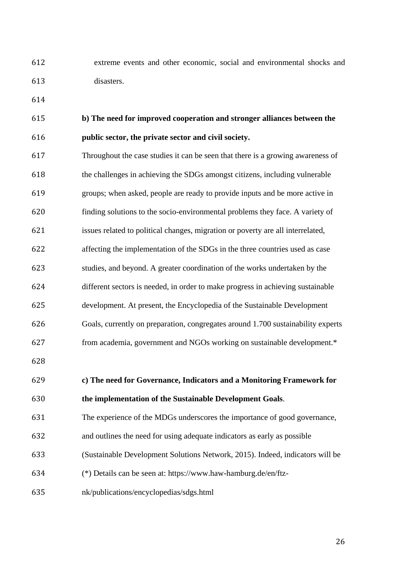extreme events and other economic, social and environmental shocks and disasters.

# **b) The need for improved cooperation and stronger alliances between the public sector, the private sector and civil society.**

 Throughout the case studies it can be seen that there is a growing awareness of the challenges in achieving the SDGs amongst citizens, including vulnerable groups; when asked, people are ready to provide inputs and be more active in finding solutions to the socio-environmental problems they face. A variety of issues related to political changes, migration or poverty are all interrelated, affecting the implementation of the SDGs in the three countries used as case studies, and beyond. A greater coordination of the works undertaken by the different sectors is needed, in order to make progress in achieving sustainable development. At present, the Encyclopedia of the Sustainable Development Goals, currently on preparation, congregates around 1.700 sustainability experts from academia, government and NGOs working on sustainable development.\* 

## **c) The need for Governance, Indicators and a Monitoring Framework for the implementation of the Sustainable Development Goals**.

### The experience of the MDGs underscores the importance of good governance,

- and outlines the need for using adequate indicators as early as possible
- (Sustainable Development Solutions Network, 2015). Indeed, indicators will be
- (\*) Details can be seen at: https://www.haw-hamburg.de/en/ftz-
- nk/publications/encyclopedias/sdgs.html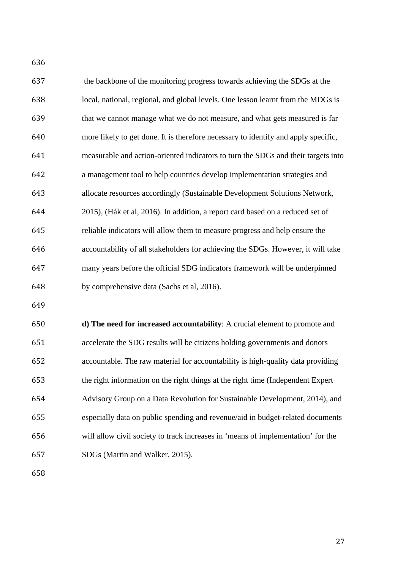| 637 | the backbone of the monitoring progress towards achieving the SDGs at the          |
|-----|------------------------------------------------------------------------------------|
| 638 | local, national, regional, and global levels. One lesson learnt from the MDGs is   |
| 639 | that we cannot manage what we do not measure, and what gets measured is far        |
| 640 | more likely to get done. It is therefore necessary to identify and apply specific, |
| 641 | measurable and action-oriented indicators to turn the SDGs and their targets into  |
| 642 | a management tool to help countries develop implementation strategies and          |
| 643 | allocate resources accordingly (Sustainable Development Solutions Network,         |
| 644 | 2015), (Hák et al, 2016). In addition, a report card based on a reduced set of     |
| 645 | reliable indicators will allow them to measure progress and help ensure the        |
| 646 | accountability of all stakeholders for achieving the SDGs. However, it will take   |
| 647 | many years before the official SDG indicators framework will be underpinned        |
| 648 | by comprehensive data (Sachs et al, 2016).                                         |

 **d) The need for increased accountability**: A crucial element to promote and accelerate the SDG results will be citizens holding governments and donors accountable. The raw material for accountability is high-quality data providing the right information on the right things at the right time (Independent Expert Advisory Group on a Data Revolution for Sustainable Development, 2014), and especially data on public spending and revenue/aid in budget-related documents will allow civil society to track increases in 'means of implementation' for the SDGs (Martin and Walker, 2015).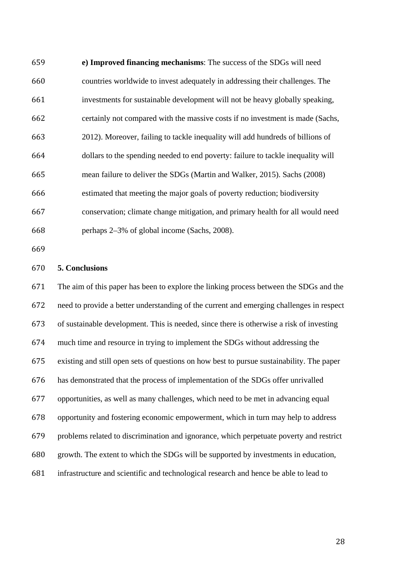**e) Improved financing mechanisms**: The success of the SDGs will need countries worldwide to invest adequately in addressing their challenges. The investments for sustainable development will not be heavy globally speaking, certainly not compared with the massive costs if no investment is made (Sachs, 2012). Moreover, failing to tackle inequality will add hundreds of billions of dollars to the spending needed to end poverty: failure to tackle inequality will mean failure to deliver the SDGs (Martin and Walker, 2015). Sachs (2008) estimated that meeting the major goals of poverty reduction; biodiversity conservation; climate change mitigation, and primary health for all would need perhaps 2–3% of global income (Sachs, 2008).

### **5. Conclusions**

 The aim of this paper has been to explore the linking process between the SDGs and the need to provide a better understanding of the current and emerging challenges in respect of sustainable development. This is needed, since there is otherwise a risk of investing much time and resource in trying to implement the SDGs without addressing the existing and still open sets of questions on how best to pursue sustainability. The paper has demonstrated that the process of implementation of the SDGs offer unrivalled opportunities, as well as many challenges, which need to be met in advancing equal opportunity and fostering economic empowerment, which in turn may help to address problems related to discrimination and ignorance, which perpetuate poverty and restrict growth. The extent to which the SDGs will be supported by investments in education, infrastructure and scientific and technological research and hence be able to lead to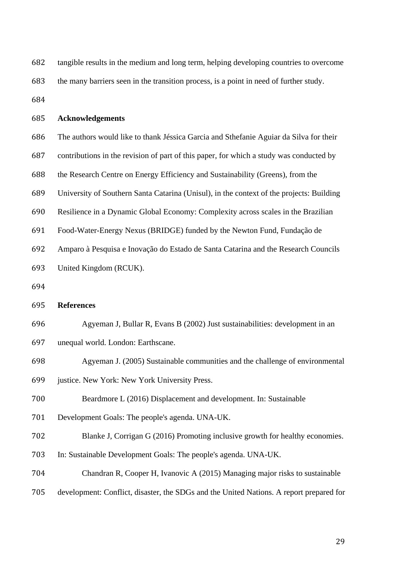| 682 | tangible results in the medium and long term, helping developing countries to overcome   |
|-----|------------------------------------------------------------------------------------------|
| 683 | the many barriers seen in the transition process, is a point in need of further study.   |
| 684 |                                                                                          |
| 685 | <b>Acknowledgements</b>                                                                  |
| 686 | The authors would like to thank Jéssica Garcia and Sthefanie Aguiar da Silva for their   |
| 687 | contributions in the revision of part of this paper, for which a study was conducted by  |
| 688 | the Research Centre on Energy Efficiency and Sustainability (Greens), from the           |
| 689 | University of Southern Santa Catarina (Unisul), in the context of the projects: Building |
| 690 | Resilience in a Dynamic Global Economy: Complexity across scales in the Brazilian        |
| 691 | Food-Water-Energy Nexus (BRIDGE) funded by the Newton Fund, Fundação de                  |
| 692 | Amparo à Pesquisa e Inovação do Estado de Santa Catarina and the Research Councils       |
| 693 | United Kingdom (RCUK).                                                                   |
| 694 |                                                                                          |
| 695 | <b>References</b>                                                                        |
| 696 | Agyeman J, Bullar R, Evans B (2002) Just sustainabilities: development in an             |
| 697 | unequal world. London: Earthscane.                                                       |
| 698 | Agyeman J. (2005) Sustainable communities and the challenge of environmental             |
| 699 | justice. New York: New York University Press.                                            |
| 700 | Beardmore L (2016) Displacement and development. In: Sustainable                         |
| 701 | Development Goals: The people's agenda. UNA-UK.                                          |
| 702 | Blanke J, Corrigan G (2016) Promoting inclusive growth for healthy economies.            |
| 703 | In: Sustainable Development Goals: The people's agenda. UNA-UK.                          |
| 704 | Chandran R, Cooper H, Ivanovic A (2015) Managing major risks to sustainable              |
| 705 | development: Conflict, disaster, the SDGs and the United Nations. A report prepared for  |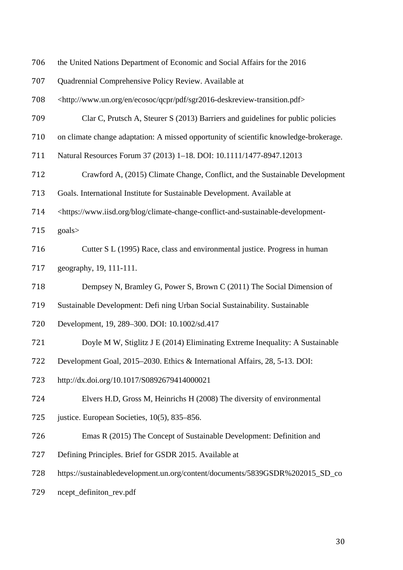| 706 | the United Nations Department of Economic and Social Affairs for the 2016                                |
|-----|----------------------------------------------------------------------------------------------------------|
| 707 | Quadrennial Comprehensive Policy Review. Available at                                                    |
| 708 | <http: ecosoc="" en="" pdf="" qcpr="" sgr2016-deskreview-transition.pdf="" www.un.org=""></http:>        |
| 709 | Clar C, Prutsch A, Steurer S (2013) Barriers and guidelines for public policies                          |
| 710 | on climate change adaptation: A missed opportunity of scientific knowledge-brokerage.                    |
| 711 | Natural Resources Forum 37 (2013) 1-18. DOI: 10.1111/1477-8947.12013                                     |
| 712 | Crawford A, (2015) Climate Change, Conflict, and the Sustainable Development                             |
| 713 | Goals. International Institute for Sustainable Development. Available at                                 |
| 714 | <https: blog="" climate-change-conflict-and-sustainable-development-<="" td="" www.iisd.org=""></https:> |
| 715 | goals>                                                                                                   |
| 716 | Cutter S L (1995) Race, class and environmental justice. Progress in human                               |
| 717 | geography, 19, 111-111.                                                                                  |
| 718 | Dempsey N, Bramley G, Power S, Brown C (2011) The Social Dimension of                                    |
| 719 | Sustainable Development: Defi ning Urban Social Sustainability. Sustainable                              |
| 720 | Development, 19, 289-300. DOI: 10.1002/sd.417                                                            |
| 721 | Doyle M W, Stiglitz J E (2014) Eliminating Extreme Inequality: A Sustainable                             |
| 722 | Development Goal, 2015-2030. Ethics & International Affairs, 28, 5-13. DOI:                              |
| 723 | http://dx.doi.org/10.1017/S0892679414000021                                                              |
| 724 | Elvers H.D, Gross M, Heinrichs H (2008) The diversity of environmental                                   |
| 725 | justice. European Societies, 10(5), 835–856.                                                             |
| 726 | Emas R (2015) The Concept of Sustainable Development: Definition and                                     |
| 727 | Defining Principles. Brief for GSDR 2015. Available at                                                   |
| 728 | https://sustainabledevelopment.un.org/content/documents/5839GSDR%202015_SD_co                            |
| 729 | ncept_definiton_rev.pdf                                                                                  |
|     |                                                                                                          |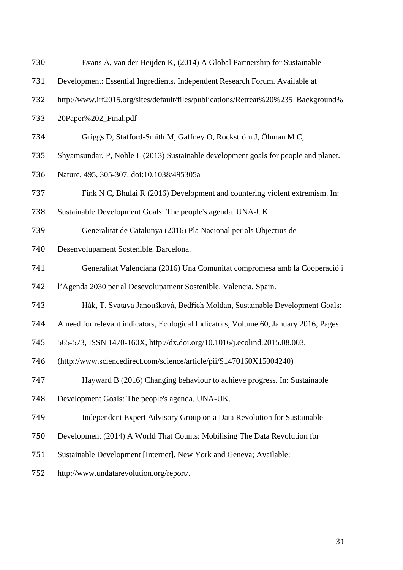| 730 | Evans A, van der Heijden K, (2014) A Global Partnership for Sustainable               |
|-----|---------------------------------------------------------------------------------------|
| 731 | Development: Essential Ingredients. Independent Research Forum. Available at          |
| 732 | http://www.irf2015.org/sites/default/files/publications/Retreat%20%235_Background%    |
| 733 | 20Paper%202_Final.pdf                                                                 |
| 734 | Griggs D, Stafford-Smith M, Gaffney O, Rockström J, Öhman M C,                        |
| 735 | Shyamsundar, P, Noble I (2013) Sustainable development goals for people and planet.   |
| 736 | Nature, 495, 305-307. doi:10.1038/495305a                                             |
| 737 | Fink N C, Bhulai R (2016) Development and countering violent extremism. In:           |
| 738 | Sustainable Development Goals: The people's agenda. UNA-UK.                           |
| 739 | Generalitat de Catalunya (2016) Pla Nacional per als Objectius de                     |
| 740 | Desenvolupament Sostenible. Barcelona.                                                |
| 741 | Generalitat Valenciana (2016) Una Comunitat compromesa amb la Cooperació i            |
| 742 | l'Agenda 2030 per al Desevolupament Sostenible. Valencia, Spain.                      |
| 743 | Hák, T, Svatava Janoušková, Bedřich Moldan, Sustainable Development Goals:            |
| 744 | A need for relevant indicators, Ecological Indicators, Volume 60, January 2016, Pages |
| 745 | 565-573, ISSN 1470-160X, http://dx.doi.org/10.1016/j.ecolind.2015.08.003.             |
| 746 | (http://www.sciencedirect.com/science/article/pii/S1470160X15004240)                  |
| 747 | Hayward B (2016) Changing behaviour to achieve progress. In: Sustainable              |
| 748 | Development Goals: The people's agenda. UNA-UK.                                       |
| 749 | Independent Expert Advisory Group on a Data Revolution for Sustainable                |
| 750 | Development (2014) A World That Counts: Mobilising The Data Revolution for            |
| 751 | Sustainable Development [Internet]. New York and Geneva; Available:                   |
| 752 | http://www.undatarevolution.org/report/.                                              |
|     |                                                                                       |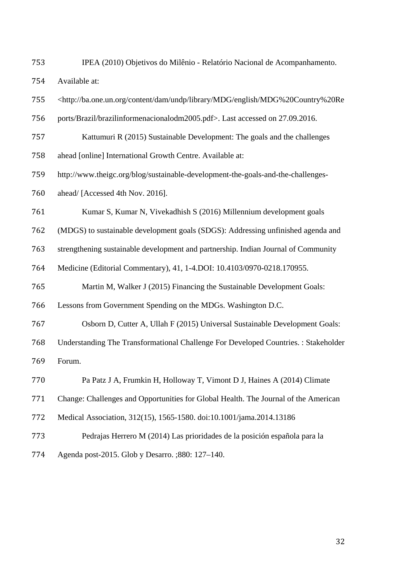- IPEA (2010) Objetivos do Milênio Relatório Nacional de Acompanhamento. Available at:
- <http://ba.one.un.org/content/dam/undp/library/MDG/english/MDG%20Country%20Re
- ports/Brazil/brazilinformenacionalodm2005.pdf>. Last accessed on 27.09.2016.
- Kattumuri R (2015) Sustainable Development: The goals and the challenges
- ahead [online] International Growth Centre. Available at:
- http://www.theigc.org/blog/sustainable-development-the-goals-and-the-challenges-
- ahead/ [Accessed 4th Nov. 2016].
- Kumar S, Kumar N, Vivekadhish S (2016) Millennium development goals
- (MDGS) to sustainable development goals (SDGS): Addressing unfinished agenda and
- strengthening sustainable development and partnership. Indian Journal of Community
- Medicine (Editorial Commentary), 41, 1-4.DOI: 10.4103/0970-0218.170955.
- Martin M, Walker J (2015) Financing the Sustainable Development Goals:

Lessons from Government Spending on the MDGs. Washington D.C.

- Osborn D, Cutter A, Ullah F (2015) Universal Sustainable Development Goals:
- Understanding The Transformational Challenge For Developed Countries. : Stakeholder Forum.
- Pa Patz J A, Frumkin H, Holloway T, Vimont D J, Haines A (2014) Climate
- Change: Challenges and Opportunities for Global Health. The Journal of the American
- Medical Association, 312(15), 1565-1580. doi:10.1001/jama.2014.13186
- Pedrajas Herrero M (2014) Las prioridades de la posición española para la
- Agenda post-2015. Glob y Desarro. ;880: 127–140.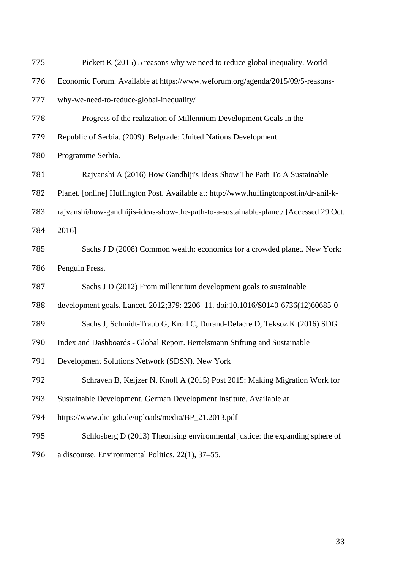| 775 | Pickett K (2015) 5 reasons why we need to reduce global inequality. World               |
|-----|-----------------------------------------------------------------------------------------|
| 776 | Economic Forum. Available at https://www.weforum.org/agenda/2015/09/5-reasons-          |
| 777 | why-we-need-to-reduce-global-inequality/                                                |
| 778 | Progress of the realization of Millennium Development Goals in the                      |
| 779 | Republic of Serbia. (2009). Belgrade: United Nations Development                        |
| 780 | Programme Serbia.                                                                       |
| 781 | Rajvanshi A (2016) How Gandhiji's Ideas Show The Path To A Sustainable                  |
| 782 | Planet. [online] Huffington Post. Available at: http://www.huffingtonpost.in/dr-anil-k- |
| 783 | rajvanshi/how-gandhijis-ideas-show-the-path-to-a-sustainable-planet/ [Accessed 29 Oct.  |
| 784 | 2016]                                                                                   |
| 785 | Sachs J D (2008) Common wealth: economics for a crowded planet. New York:               |
| 786 | Penguin Press.                                                                          |
| 787 | Sachs J D (2012) From millennium development goals to sustainable                       |
| 788 | development goals. Lancet. 2012;379: 2206-11. doi:10.1016/S0140-6736(12)60685-0         |
| 789 | Sachs J, Schmidt-Traub G, Kroll C, Durand-Delacre D, Teksoz K (2016) SDG                |
| 790 | Index and Dashboards - Global Report. Bertelsmann Stiftung and Sustainable              |
| 791 | Development Solutions Network (SDSN). New York                                          |
| 792 | Schraven B, Keijzer N, Knoll A (2015) Post 2015: Making Migration Work for              |
| 793 | Sustainable Development. German Development Institute. Available at                     |
| 794 | https://www.die-gdi.de/uploads/media/BP_21.2013.pdf                                     |
| 795 | Schlosberg D (2013) Theorising environmental justice: the expanding sphere of           |
| 796 | a discourse. Environmental Politics, 22(1), 37-55.                                      |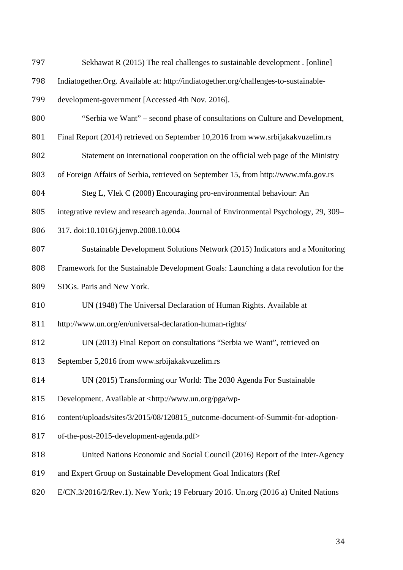Sekhawat R (2015) The real challenges to sustainable development *.* [online] Indiatogether.Org. Available at: http://indiatogether.org/challenges-to-sustainable- development-government [Accessed 4th Nov. 2016]. "Serbia we Want" – second phase of consultations on Culture and Development, Final Report (2014) retrieved on September 10,2016 from www.srbijakakvuzelim.rs Statement on international cooperation on the official web page of the Ministry of Foreign Affairs of Serbia, retrieved on September 15, from http://www.mfa.gov.rs Steg L, Vlek C (2008) Encouraging pro-environmental behaviour: An integrative review and research agenda. Journal of Environmental Psychology, 29, 309– 317. doi:10.1016/j.jenvp.2008.10.004 Sustainable Development Solutions Network (2015) Indicators and a Monitoring Framework for the Sustainable Development Goals: Launching a data revolution for the SDGs. Paris and New York. UN (1948) The Universal Declaration of Human Rights. Available at http://www.un.org/en/universal-declaration-human-rights/ UN (2013) Final Report on consultations "Serbia we Want", retrieved on September 5,2016 from www.srbijakakvuzelim.rs UN (2015) Transforming our World: The 2030 Agenda For Sustainable Development. Available at <http://www.un.org/pga/wp- content/uploads/sites/3/2015/08/120815\_outcome-document-of-Summit-for-adoption- of-the-post-2015-development-agenda.pdf> United Nations Economic and Social Council (2016) Report of the Inter-Agency and Expert Group on Sustainable Development Goal Indicators (Ref E/CN.3/2016/2/Rev.1). New York; 19 February 2016. Un.org (2016 a) United Nations